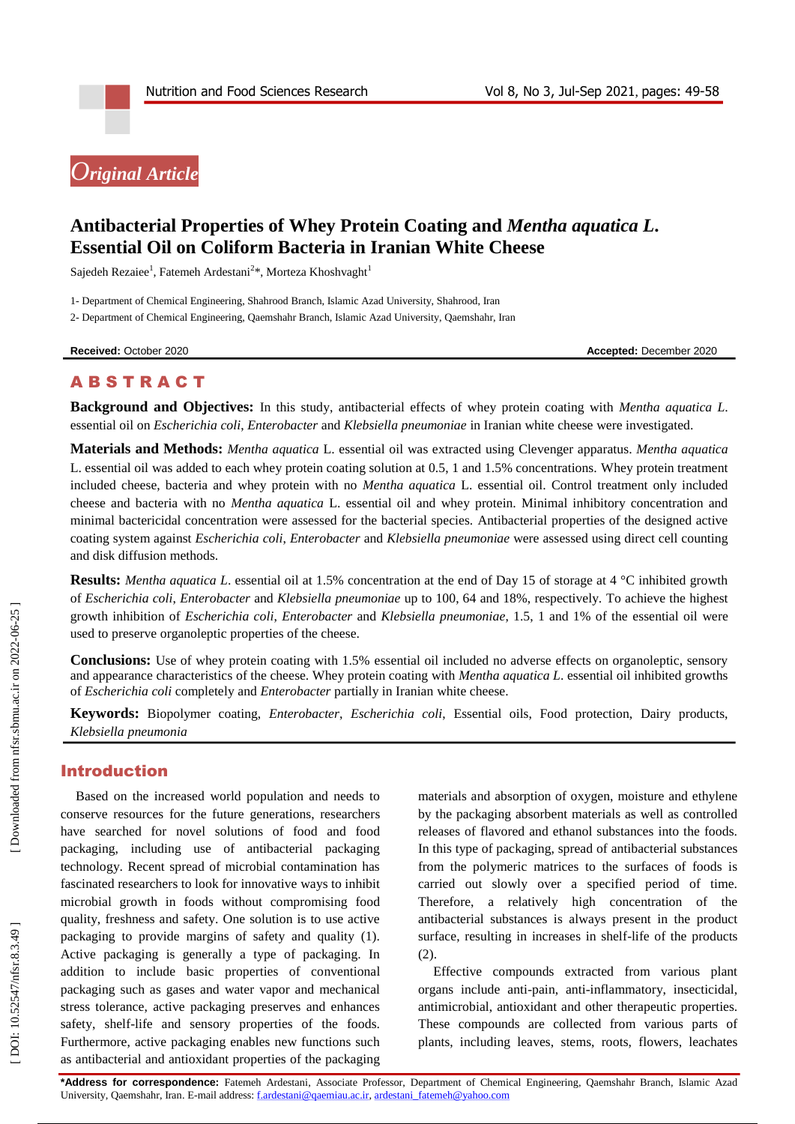# *Original Article*

# **Antibacterial Properties of Whey Protein Coating and** *Mentha aquatica L* **. Essential Oil on Coliform Bacteria in Iranian White Cheese**

Sajedeh Rezaiee<sup>1</sup>, Fatemeh Ardestani<sup>2</sup>\*, Morteza Khoshvaght<sup>1</sup>

1 - Department of Chemical Engineering, Shahrood Branch, Islamic Azad University, Shahrood, Iran

2 - Department of Chemical Engineering, Qaemshahr Branch, Islamic Azad University, Qaemshahr, Iran

**Received:** October 2020 **Accepted:** December 2020

# **ABSTRACT**

**Background and Objectives:** In this study, antibacterial effects of whey protein coating with *Mentha aquatica L* . essential oil on *Escherichia coli*, *Enterobacter* and *Klebsiella pneumoniae* in Iranian white cheese were investigated.

**Materials and Methods:** *Mentha aquatica* L. essential oil was extracted using Clevenger apparatus . *Mentha aquatica*  L. essential oil was added to each whey protein coating solution at 0.5, 1 and 1.5% concentrations. Whey protein treatment included cheese, bacteria and whey protein with no *Mentha aquatica* L. essential oil. Control treatment only included cheese and bacteria with no *Mentha aquatica* L. essential oil and whey protein. Minimal inhibitory concentration and minimal bactericidal concentration were assessed for the bacterial species. Antibacterial properties of the designed active coating system against *Escherichia coli*, *Enterobacter* and *Klebsiella pneumoniae* were assessed using direct cell counting and disk diffusion methods.

Results: *Mentha aquatica L*. essential oil at 1.5% concentration at the end of Day 15 of storage at 4 °C inhibited growth of *Escherichia coli* , *Enterobacter* and *Klebsiella pneumoniae* up to 100, 64 and 18%, respectively. To achieve the highest growth inhibition of *Escherichia coli*, *Enterobacter* and *Klebsiella pneumoniae*, 1.5, 1 and 1% of the essential oil were used to preserve organoleptic properties of the cheese.

**Conclusions:** Use of whey protein coating with 1.5% essential oil included no adverse effects on organoleptic, sensory and appearance characteristics of the cheese. Whey protein coating with *Mentha aquatica L* . essential oil inhibited growths of *Escherichia coli* completely and *Enterobacter* partially in Iranian white cheese.

**Keywords:** Biopolymer coating, *Enterobacter*, *Escherichia coli*, Essential oils, Food protection, Dairy products, *Klebsiella pneumonia*

# Introduction

Based on the increased world population and needs to conserve resources for the future generations, researchers have searched for novel solutions of food and food packaging, including use of antibacterial packaging technology. Recent spread of microbial contamination has fascinated researchers to look for innovative ways to inhibit microbial growth in foods without compromising food quality, freshness and safety. One solution is to use active packaging to provide margins of safety and quality (1). Active packaging is generally a type of packaging. In addition to include basic properties of conventional packaging such as gases and water vapor and mechanical stress tolerance, active packaging preserves and enhances safety, shelf-life and sensory properties of the foods. Furthermore, active packaging enables new functions such as antibacterial and antioxidant properties of the packaging materials and absorption of oxygen, moisture and ethylene by the packaging absorbent materials as well as controlled releases of flavored and ethanol substances into the foods. In this type of packaging, spread of antibacterial substances from the polymeric matrices to the surfaces of foods is carried out slowly over a specified period of time. Therefore, a relatively high concentration of the antibacterial substances is always present in the product surface, resulting in increases in shelf -life of the products (2) .

Effective compounds extracted from various plant organs include anti -pain, anti -inflammatory, insecticidal, antimicrobial, antioxidant and other therapeutic properties. These compounds are collected from various parts of plants, including leaves, stems, roots, flowers, leachates

**\*Address for correspondence:** Fatemeh Ardestani, Associate Professor, Department of Chemical Engineering, Qaemshahr Branch, Islamic Azad University, Qaemshahr, Iran. E-mail address[: f.ardestani@qaemiau.ac.ir,](mailto:f.ardestani@qaemiau.ac.ir) [ardestani\\_fatemeh@yahoo.com](mailto:ardestani_fatemeh@yahoo.com)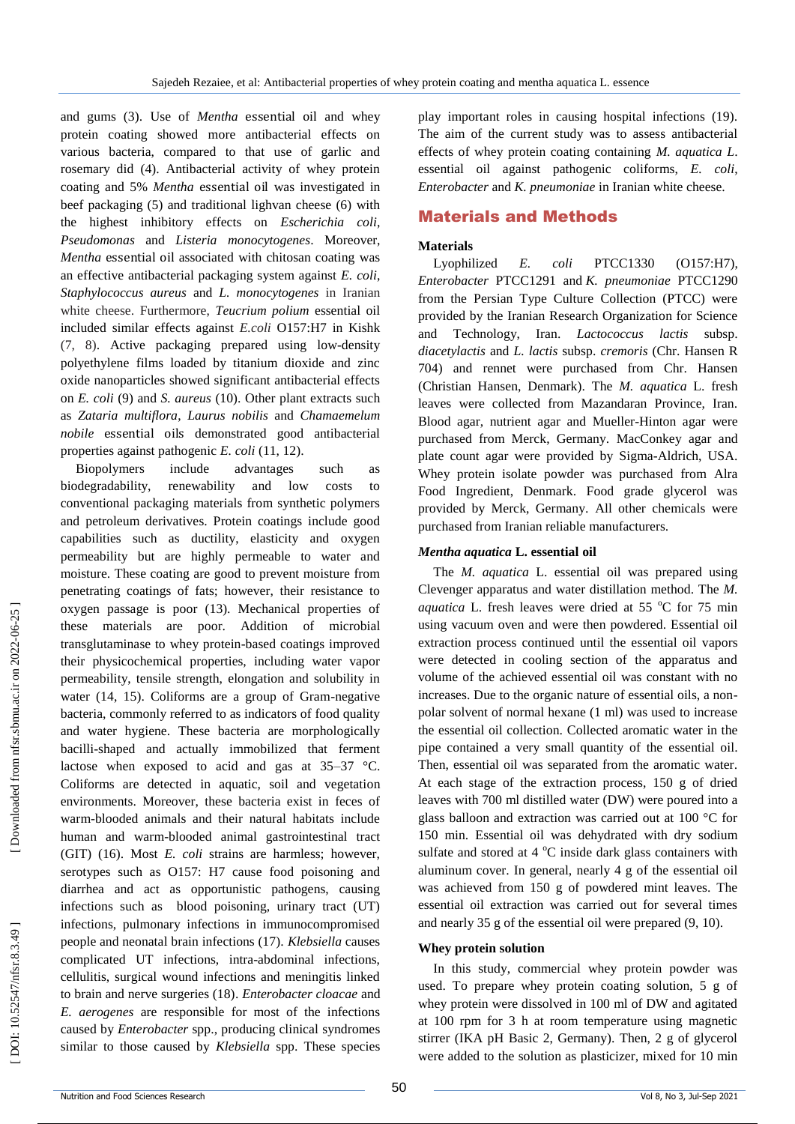and gums (3). Use of *Mentha* essential oil and whey protein coating showed more antibacterial effects on various bacteria, compared to that use of garlic and rosemary did (4). Antibacterial activity of whey protein coating and 5% *Mentha* essential oil was investigated in beef packaging (5) and traditional lighvan cheese (6) with the highest inhibitory effects on *Escherichia coli*, *Pseudomonas* and *Listeria monocytogenes*. Moreover, *Mentha* essential oil associated with chitosan coating was an effective antibacterial packaging system against *E. coli*, *Staphylococcus aureus* and *L. monocytogenes* in Iranian white cheese. Furthermore, *Teucrium polium* essential oil included similar effects against *E.coli* O157:H7 in Kishk (7, 8). Active packaging prepared using low -density polyethylene films loaded by titanium dioxide and zinc oxide nanoparticles showed significant antibacterial effects on *E. coli* (9) and *S. aureus* (10). Other plant extracts such as *Zataria multiflora* , *Laurus nobilis* and *Chamaemelum nobile* essential oils demonstrated good antibacterial properties against pathogenic *E. coli* (11, 12).

Biopolymers include advantages such as biodegradability, renewability and low costs to conventional packaging materials from synthetic polymers and petroleum derivatives. Protein coatings include good capabilities such as ductility, elasticity and oxygen permeability but are highly permeable to water and moisture. These coating are good to prevent moisture from penetrating coatings of fats; however, their resistance to oxygen passage is poor (13). Mechanical properties of these materials are poor. Addition of microbial transglutaminase to whey protein -based coatings improved their physicochemical properties, including water vapor permeability, tensile strength, elongation and solubility in water (14, 15). Coliforms are a group of Gram -negative bacteria, commonly referred to as indicators of food quality and water hygiene. These bacteria are morphologically bacilli -shaped and actually immobilized that ferment lactose when exposed to acid and gas at 35–37 °C. Coliforms are detected in aquatic, soil and vegetation environments. Moreover, these bacteria exist in feces of warm -blooded animals and their natural habitats include human and warm -blooded animal gastrointestinal tract (GIT) (16). Most *E. coli* strains are harmless; however, serotypes such as O157: H7 cause food poisoning and diarrhea and act as opportunistic pathogens, causing infections such as blood poisoning, urinary tract (UT) infections, pulmonary infections in immunocompromised people and neonatal brain infections (17). *Klebsiella* causes complicated UT infections, intra -abdominal infections, cellulitis, surgical wound infections and meningitis linked to brain and nerve surgeries (18) . *Enterobacter cloacae* and *E. aerogenes* are responsible for most of the infections caused by *Enterobacter* spp., producing clinical syndromes similar to those caused by *Klebsiella* spp. These species

play important roles in causing hospital infections (19). The aim of the current study was to assess antibacterial effects of whey protein coating containing *M. aquatica L* . essential oil against pathogenic coliforms, *E. coli*, *Enterobacter* and *K. pneumoniae* in Iranian white cheese.

# Material s and Methods

#### **Materials**

Lyophilized *E. coli* PTCC1330 (O157:H7), *Enterobacter* PTCC1291 and *K. pneumoniae* PTCC1290 from the Persian Type Culture Collection (PTCC) were provided by the Iranian Research Organization for Science and Technology, Iran. *Lactococcus lactis* subsp. *diacetylactis* and *L. lactis* subsp. *cremoris* (Chr. Hansen R 704) and rennet were purchased from Chr. Hansen (Christian Hansen, Denmark). The *M. aquatica* L. fresh leaves were collected from Mazandaran Province, Iran. Blood agar, nutrient agar and Mueller -Hinton agar were purchased from Merck, Germany. MacConkey agar and plate count agar were provided by Sigma -Aldrich, USA. Whey protein isolate powder was purchased from Alra Food Ingredient, Denmark. Food grade glycerol was provided by Merck, Germany. All other chemicals were purchased from Iranian reliable manufacturers.

## *Mentha aquatica* **L. essential oil**

The *M. aquatica* L. essential oil was prepared using Clevenger apparatus and water distillation method. The *M.*  aquatica L. fresh leaves were dried at 55 °C for 75 min using vacuum oven and were then powdered. Essential oil extraction process continued until the essential oil vapors were detected in cooling section of the apparatus and volume of the achieved essential oil was constant with no increases. Due to the organic nature of essential oils, a non polar solvent of normal hexane (1 ml) was used to increase the essential oil collection. Collected aromatic water in the pipe contained a very small quantity of the essential oil. Then, essential oil was separated from the aromatic water. At each stage of the extraction process, 150 g of dried leaves with 700 ml distilled water (DW) were poured into a glass balloon and extraction was carried out at 100 °C for 150 min. Essential oil was dehydrated with dry sodium sulfate and stored at 4  $^{\circ}$ C inside dark glass containers with aluminum cover. In general, nearly 4 g of the essential oil was achieved from 150 g of powdered mint leaves. The essential oil extraction was carried out for several times and nearly 35 g of the essential oil were prepared (9, 10).

#### **Whey protein solution**

In this study, commercial whey protein powder was used. To prepare whey protein coating solution, 5 g of whey protein were dissolved in 100 ml of DW and agitated at 100 rpm for 3 h at room temperature using magnetic stirrer (IKA pH Basic 2, Germany). Then, 2 g of glycerol were added to the solution as plasticizer, mixed for 10 min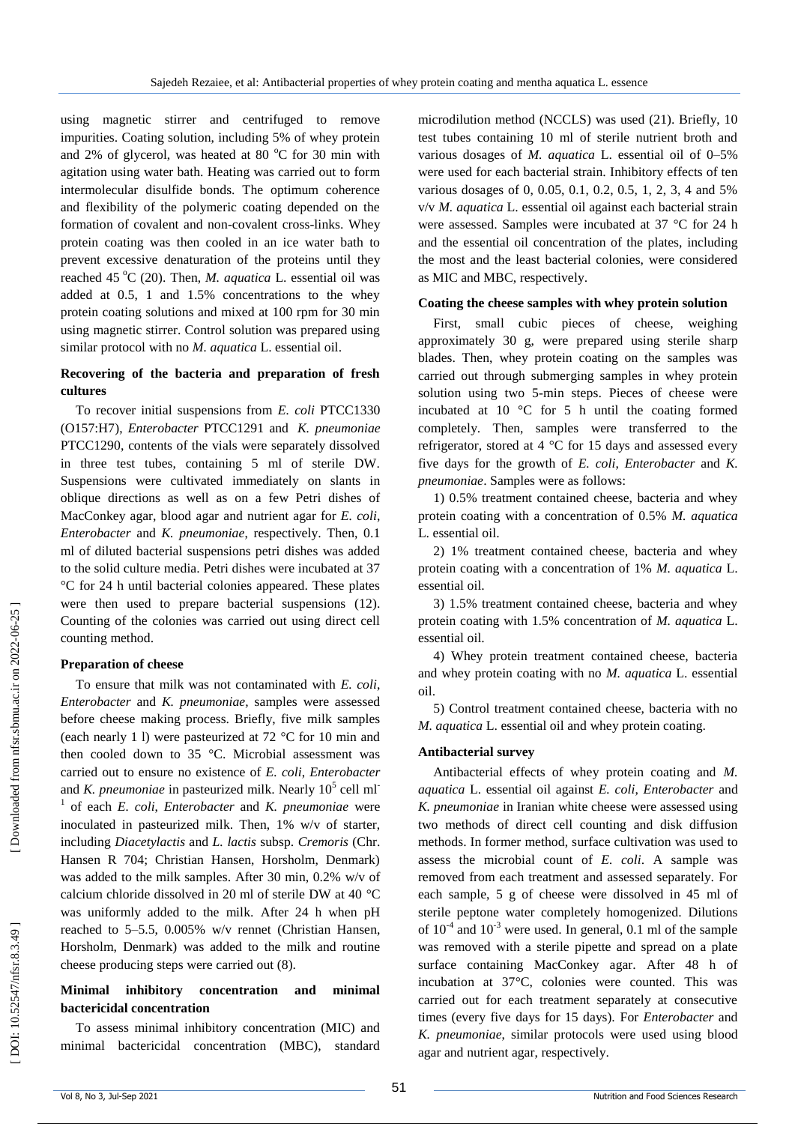using magnetic stirrer and centrifuged to remove impurities. Coating solution, including 5% of whey protein and 2% of glycerol, was heated at 80  $^{\circ}$ C for 30 min with agitation using water bath. Heating was carried out to form intermolecular disulfide bonds. The optimum coherence and flexibility of the polymeric coating depended on the formation of covalent and non -covalent cross -links. Whey protein coating was then cooled in an ice water bath to prevent excessive denaturation of the proteins until they reached 45 °C (20). Then, *M. aquatica* L. essential oil was added at 0.5, 1 and 1.5% concentrations to the whey protein coating solutions and mixed at 100 rpm for 30 min using magnetic stirrer. Control solution was prepared using similar protocol with no *M. aquatica* L. essential oil .

# **Recovering of the bacteria and preparation of fresh cultures**

To recover initial suspensions from *E. coli* PTCC1330 (O157:H7), *Enterobacter* PTCC1291 and *K. pneumoniae*  PTCC1290, contents of the vials were separately dissolved in three test tubes, containing 5 ml of sterile DW. Suspensions were cultivated immediately on slants in oblique directions as well as on a few Petri dishes of MacConkey agar, blood agar and nutrient agar for *E. coli*, Enterobacter and *K. pneumoniae*, respectively. Then, 0.1 ml of diluted bacterial suspensions petri dishes was added to the solid culture media. Petri dishes were incubated at 37 °C for 24 h until bacterial colonies appeared. These plates were then used to prepare bacterial suspensions (12). Counting of the colonies was carried out using direct cell counting method.

## **Preparation of cheese**

To ensure that milk was not contaminated with *E. coli*, *Enterobacter* and *K. pneumoniae,* samples were assessed before cheese making process. Briefly, five milk samples (each nearly 1 l) were pasteurized at 72 °C for 10 min and then cooled down to 35 °C. Microbial assessment was carried out to ensure no existence of *E. coli*, *Enterobacter*  and *K. pneumoniae* in pasteurized milk. Nearly 10<sup>5</sup> cell ml<sup>-</sup> 1 of each *E. coli*, *Enterobacter* and *K. pneumoniae* were inoculated in pasteurized milk. Then, 1% w/v of starter, including *Diacetylactis* and *L. lactis* subsp. *Cremoris* (Chr. Hansen R 704; Christian Hansen, Horsholm, Denmark) was added to the milk samples. After 30 min, 0.2% w/v of calcium chloride dissolved in 20 ml of sterile DW at 40 °C was uniformly added to the milk. After 24 h when pH reached to 5 –5.5, 0.005% w/v rennet (Christian Hansen, Horsholm, Denmark) was added to the milk and routine cheese producing steps were carried out (8) .

# **Minimal inhibitory concentration and minimal bactericidal concentration**

To assess minimal inhibitory concentration (MIC) and minimal bactericidal concentration (MBC), standard

microdilution method (NCCLS) was used (21). Briefly, 10 test tubes containing 10 ml of sterile nutrient broth and various dosages of *M. aquatica* L. essential oil of 0 –5% were used for each bacterial strain. Inhibitory effects of ten various dosages of 0, 0.05, 0.1, 0.2, 0.5, 1, 2, 3, 4 and 5% v/v *M. aquatica* L. essential oil against each bacterial strain were assessed. Samples were incubated at 37 °C for 24 h and the essential oil concentration of the plates, including the most and the least bacterial colonies, were considered as MIC and MBC, respectively.

#### **Coating the cheese samples with whey protein solution**

First, small cubic pieces of cheese, weighing approximately 30 g, were prepared using sterile sharp blades. Then, whey protein coating on the samples was carried out through submerging samples in whey protein solution using two 5 -min steps. Pieces of cheese were incubated at 10 °C for 5 h until the coating formed completely. Then, samples were transferred to the refrigerator, stored at 4 °C for 15 days and assessed every five days for the growth of *E. coli*, *Enterobacter* and *K. pneumoniae*. Samples were as follows:

1) 0.5% treatment contained cheese, bacteria and whey protein coating with a concentration of 0.5% *M. aquatica*  L. essential oil.

2) 1% treatment contained cheese, bacteria and whey protein coating with a concentration of 1% *M. aquatica* L. essential oil .

3) 1.5% treatment contained cheese, bacteria and whey protein coating with 1.5% concentration of *M. aquatica* L. essential oil .

4) Whey protein treatment contained cheese, bacteria and whey protein coating with no *M. aquatica* L. essential oil .

5) Control treatment contained cheese, bacteria with no *M. aquatica* L. essential oil and whey protein coating.

## **Antibacterial survey**

Antibacterial effects of whey protein coating and *M. aquatica* L. essential oil against *E. coli*, *Enterobacter* and *K. pneumoniae* in Iranian white cheese were assessed using two methods of direct cell counting and disk diffusion methods. In former method, surface cultivation was used to assess the microbial count of *E. coli*. A sample was removed from each treatment and assessed separately. For each sample, 5 g of cheese were dissolved in 45 ml of sterile peptone water completely homogenized. Dilutions of  $10^{-4}$  and  $10^{-3}$  were used. In general, 0.1 ml of the sample was removed with a sterile pipette and spread on a plate surface containing MacConkey agar. After 48 h of incubation at 37°C, colonies were counted. This was carried out for each treatment separately at consecutive times (every five days for 15 days). For *Enterobacter* and *K. pneumoniae*, similar protocols were used using blood agar and nutrient agar, respectively .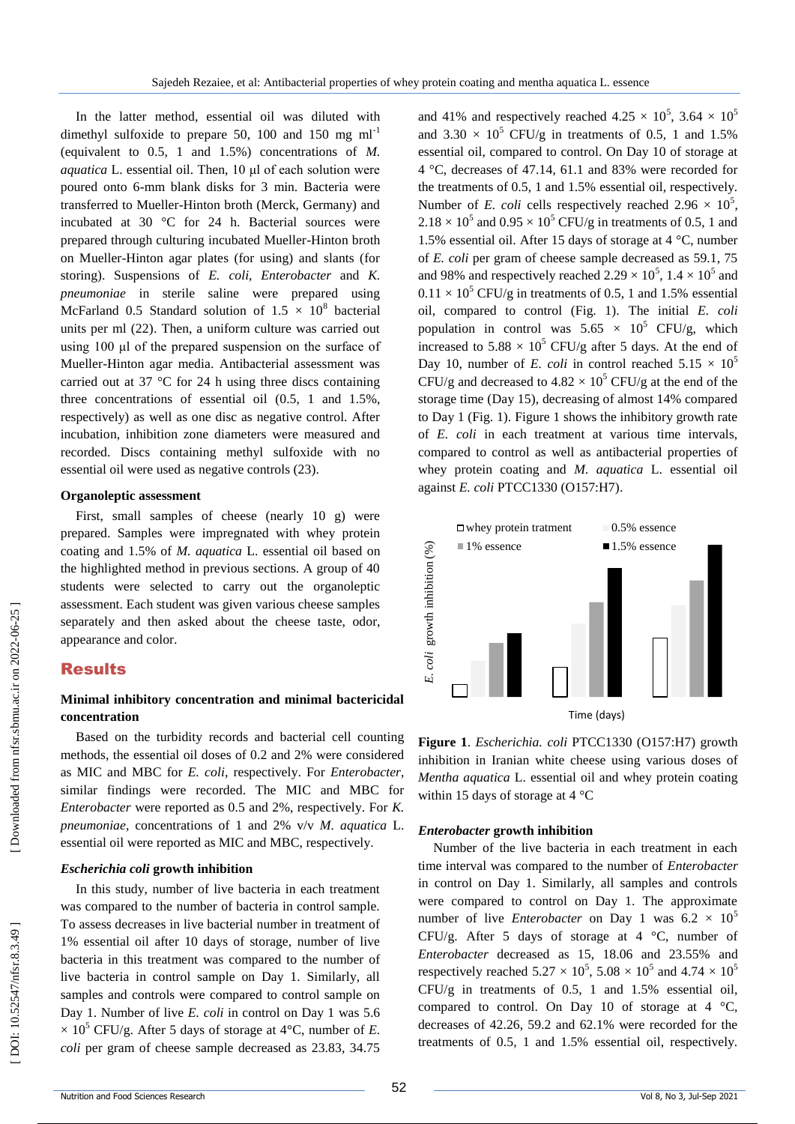In the latter method, essential oil was diluted with dimethyl sulfoxide to prepare 50, 100 and 150 mg  $ml^{-1}$ (equivalent to 0.5, 1 and 1.5%) concentrations of *M. aquatica* L. essential oil. Then, 10 μl of each solution were poured onto 6 -mm blank disks for 3 min. Bacteria were transferred to Mueller -Hinton broth (Merck, Germany) and incubated at 30 °C for 24 h. Bacterial sources were prepared through culturing incubated Mueller -Hinton broth on Mueller -Hinton agar plates (for using) and slants (for storing). Suspensions of *E. coli*, *Enterobacter* and *K. pneumoniae* in sterile saline were prepared using McFarland 0.5 Standard solution of  $1.5 \times 10^8$  bacterial units per ml (22) . Then, a uniform culture was carried out using 100 μl of the prepared suspension on the surface of Mueller - Hinton agar media. Antibacterial assessment was carried out at 37 °C for 24 h using three discs containing three concentrations of essential oil (0.5, 1 and 1.5%, respectively) as well as one disc as negative control. After incubation, inhibition zone diameters were measured and recorded. Discs containing methyl sulfoxide with no essential oil were used as negative controls (23).

#### **Organoleptic assessment**

First, small samples of cheese (nearly 10 g) were prepared. Samples were impregnated with whey protein coating and 1.5% of *M. aquatica* L. essential oil based on the highlighted method in previous sections. A group of 40 students were selected to carry out the organoleptic assessment. Each student was given various cheese samples separately and then asked about the cheese taste, odor, appearance and color.

# Results

# **Minimal inhibitory concentration and minimal bactericidal concentration**

Based on the turbidity records and bacterial cell counting methods, the essential oil doses of 0.2 and 2% were considered as MIC and MBC for *E. coli*, respectively. For *Enterobacter*, similar findings were recorded. The MIC and MBC for *Enterobacter* were reported as 0.5 and 2%, respectively. For *K. pneumoniae*, concentrations of 1 and 2% v/v *M. aquatica* L. essential oil were reported as MIC and MBC, respectively.

## *Escherichia coli* **growth inhibition**

In this study, number of live bacteria in each treatment was compared to the number of bacteria in control sample. To assess decreases in live bacterial number in treatment of 1% essential oil after 10 days of storage, number of live bacteria in this treatment was compared to the number of live bacteria in control sample on Day 1. Similarly, all samples and controls were compared to control sample on Day 1. Number of live *E. coli* in control on Day 1 was 5.6  $\times$  10<sup>5</sup> CFU/g. After 5 days of storage at 4°C, number of *E*. *coli* per gram of cheese sample decreased as 23.83, 34.75

and 41% and respectively reached  $4.25 \times 10^5$ ,  $3.64 \times 10^5$ and  $3.30 \times 10^5$  CFU/g in treatments of 0.5, 1 and 1.5% essential oil, compared to control. On Day 10 of storage at 4 °C, decreases of 47.14, 61.1 and 83% were recorded for the treatments of 0.5, 1 and 1.5% essential oil, respectively. Number of *E. coli* cells respectively reached  $2.96 \times 10^5$ ,  $2.18 \times 10^5$  and  $0.95 \times 10^5$  CFU/g in treatments of 0.5, 1 and 1.5% essential oil. After 15 days of storage at 4 °C, number of *E. coli* per gram of cheese sample decreased as 59.1, 75 and 98% and respectively reached  $2.29 \times 10^5$ ,  $1.4 \times 10^5$  and  $0.11 \times 10^5$  CFU/g in treatments of 0.5, 1 and 1.5% essential oil, compared to control (Fig. 1). The initial *E. coli* population in control was  $5.65 \times 10^5$  CFU/g, which increased to  $5.88 \times 10^5$  CFU/g after 5 days. At the end of Day 10, number of *E. coli* in control reached  $5.15 \times 10^5$ CFU/g and decreased to  $4.82 \times 10^5$  CFU/g at the end of the storage time (Day 15), decreasing of almost 14% compared to Day 1 (Fig. 1). Figure 1 shows the inhibitory growth rate of *E. coli* in each treatment at various time intervals, compared to control as well as antibacterial properties of whey protein coating and *M. aquatica* L. essential oil against *E. coli* PTCC1330 (O157:H7 ) .



**Figure 1**. *Escherichia. coli* PTCC1330 (O157:H7 ) growth inhibition in Iranian white cheese using various doses of *Mentha aquatica* L. essential oil and whey protein coating within 15 days of storage at 4 °C

#### *Enterobacter* **growth inhibition**

Number of the live bacteria in each treatment in each time interval was compared to the number of *Enterobacter* in control on Day 1. Similarly, all samples and controls were compared to control on Day 1. The approximate number of live *Enterobacter* on Day 1 was  $6.2 \times 10^5$ CFU/g. After 5 days of storage at 4 °C, number of *Enterobacter* decreased as 15, 18.06 and 23.55% and respectively reached  $5.27 \times 10^5$ ,  $5.08 \times 10^5$  and  $4.74 \times 10^5$ CFU/g in treatments of 0.5, 1 and 1.5% essential oil, compared to control. On Day 10 of storage at 4  $°C$ , decreases of 42.26, 59.2 and 62.1% were recorded for the **Example 1.5% essence**<br> **E.5. 2.5.**<br> **E.6.**<br> **E.6.**<br> **E.6.**<br> **E.6.**<br> **E.6.**<br> **E.6.**<br> **E.6.**<br> **E.6.**<br> **E.6.**<br> **E.6.**<br> **E.6.**<br> **E.6.**<br> **E.6.**<br> **E.6.**<br> **E.6.**<br> **E.6.**<br> **E.6.**<br> **E.6.**<br> **E.6.**<br> **E.6.**<br> **E.6.**<br> **E.6.**<br> **E.6.**<br>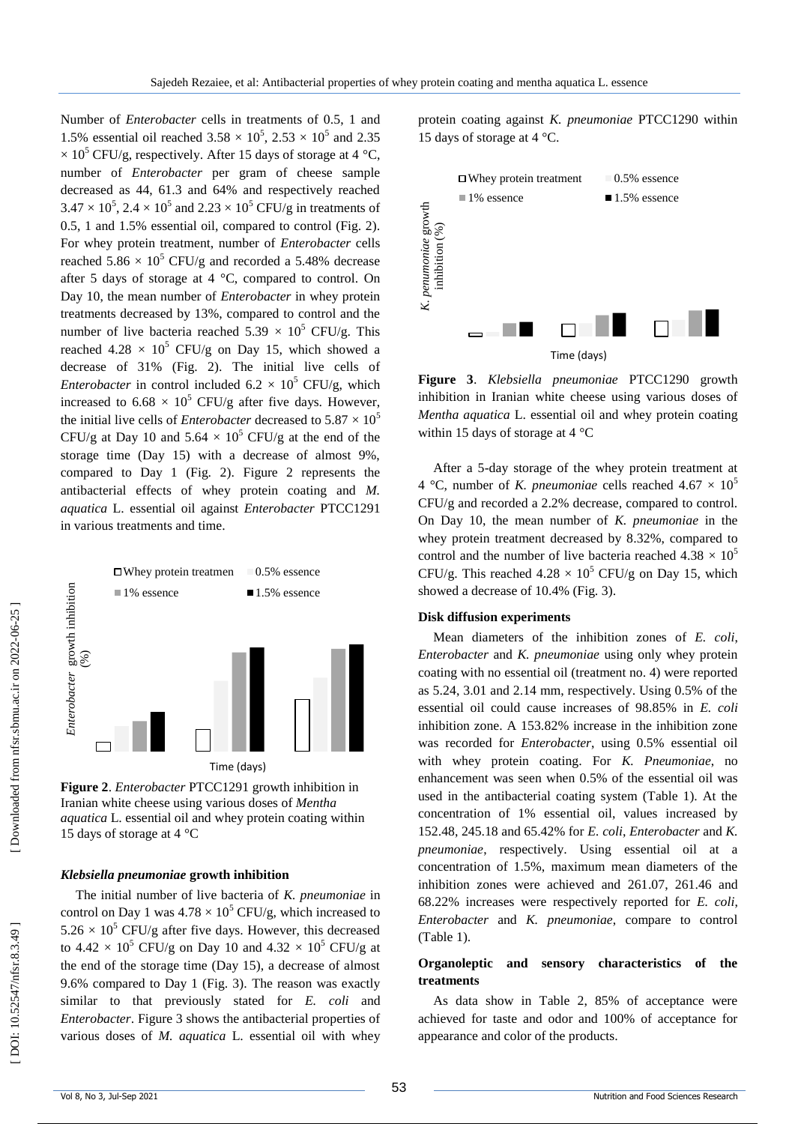Number of *Enterobacter* cells in treatments of 0.5, 1 and 1.5% essential oil reached  $3.58 \times 10^5$ ,  $2.53 \times 10^5$  and  $2.35$  $\times$  10<sup>5</sup> CFU/g, respectively. After 15 days of storage at 4 °C, number of *Enterobacter* per gram of cheese sample decreased as 44, 61.3 and 64% and respectively reached  $3.47 \times 10^5$ ,  $2.4 \times 10^5$  and  $2.23 \times 10^5$  CFU/g in treatments of 0.5, 1 and 1.5% essential oil, compared to control (Fig. 2). For whey protein treatment, number of *Enterobacter* cells reached  $5.86 \times 10^5$  CFU/g and recorded a 5.48% decrease after 5 days of storage at 4 °C, compared to control. On Day 10, the mean number of *Enterobacter* in whey protein treatments decreased by 13%, compared to control and the number of live bacteria reached  $5.39 \times 10^5$  CFU/g. This reached  $4.28 \times 10^5$  CFU/g on Day 15, which showed a decrease of 31% (Fig. 2). The initial live cells of *Enterobacter* in control included  $6.2 \times 10^5$  CFU/g, which increased to  $6.68 \times 10^5$  CFU/g after five days. However, the initial live cells of *Enterobacter* decreased to  $5.87 \times 10^5$ CFU/g at Day 10 and  $5.64 \times 10^5$  CFU/g at the end of the storage time (Day 15) with a decrease of almost 9%, compared to Day 1 (Fig. 2). Figure 2 represents the antibacterial effects of whey protein coating and *M. aquatica* L. essential oil against *Enterobacter* PTCC1291 in various treatments and time.



**Figure 2**. *Enterobacter* PTCC1291 growth inhibition in Iranian white cheese using various doses of *Mentha aquatica* L. essential oil and whey protein coating within 15 days of storage at 4 °C

## *Klebsiella pneumoniae* **growth inhibition**

The initial number of live bacteria of *K. pneumoniae* in control on Day 1 was  $4.78 \times 10^5$  CFU/g, which increased to  $5.26 \times 10^5$  CFU/g after five days. However, this decreased to  $4.42 \times 10^5$  CFU/g on Day 10 and  $4.32 \times 10^5$  CFU/g at the end of the storage time (Day 15), a decrease of almost 9.6% compared to Day 1 (Fig. 3). The reason was exactly similar to that previously stated for *E. coli* and *Enterobacter*. Figure 3 shows the antibacterial properties of various doses of *M. aquatica* L. essential oil with whey

protein coating against *K. pneumoniae* PTCC1290 within 15 days of storage at 4 °C.



**Figure 3**. *Klebsiella pneumoniae* PTCC1290 growth inhibition in Iranian white cheese using various doses of *Mentha aquatica* L. essential oil and whey protein coating within 15 days of storage at 4 °C

After a 5 -day storage of the whey protein treatment at 4 °C, number of *K. pneumoniae* cells reached  $4.67 \times 10^5$ CFU/g and recorded a 2.2% decrease, compared to control. On Day 10, the mean number of *K. pneumoniae* in the whey protein treatment decreased by 8.32%, compared to control and the number of live bacteria reached  $4.38 \times 10^5$ CFU/g. This reached  $4.28 \times 10^5$  CFU/g on Day 15, which showed a decrease of 10.4% (Fig. 3).

#### **Disk diffusion experiments**

Mean diameters of the inhibition zones of *E. coli*, *Enterobacter* and *K. pneumoniae* using only whey protein coating with no essential oil (treatment no. 4) were reported as 5.24, 3.01 and 2.14 mm, respectively. Using 0.5% of the essential oil could cause increases of 98.85% in *E. coli* inhibition zone. A 153.82% increase in the inhibition zone was recorded for *Enterobacter*, using 0.5% essential oil with whey protein coating. For *K. Pneumoniae*, no enhancement was seen when 0.5% of the essential oil was used in the antibacterial coating system (Table 1). At the concentration of 1% essential oil, values increased by 152.48, 245.18 and 65.42% for *E. coli*, *Enterobacter* and *K. pneumoniae*, respectively. Using essential oil at a concentration of 1.5%, maximum mean diameters of the inhibition zones were achieved and 261.07, 261.46 and 68.22% increases were respectively reported for *E. coli*, *Enterobacter* and *K. pneumoniae*, compare to control (Table 1).

# **Organoleptic and sensory characteristics of the treatments**

As data show in Table 2, 85% of acceptance were achieved for taste and odor and 100% of acceptance for appearance and color of the products.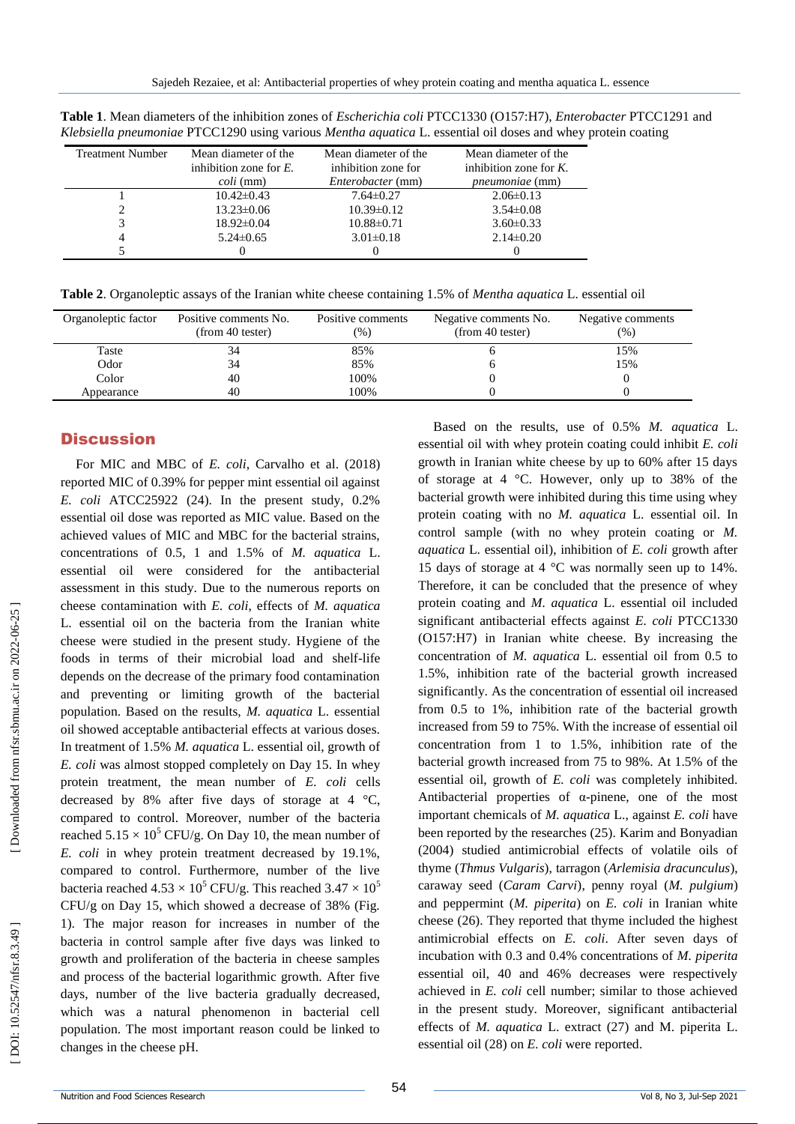| Treatment Number | Mean diameter of the    | Mean diameter of the     | Mean diameter of the      |  |
|------------------|-------------------------|--------------------------|---------------------------|--|
|                  | inhibition zone for $E$ | inhibition zone for      | inhibition zone for $K$ . |  |
|                  | <i>coli</i> (mm)        | <i>Enterobacter</i> (mm) | <i>pneumoniae</i> (mm)    |  |
|                  | $10.42\pm0.43$          | $7.64\pm0.27$            | $2.06\pm0.13$             |  |
|                  | $13.23 \pm 0.06$        | $10.39\pm0.12$           | $3.54\pm0.08$             |  |
|                  | $18.92 \pm 0.04$        | $10.88 \pm 0.71$         | $3.60 \pm 0.33$           |  |
| 4                | $5.24 \pm 0.65$         | $3.01 \pm 0.18$          | $2.14\pm0.20$             |  |
|                  |                         |                          |                           |  |

**Table 1**. Mean diameters of the inhibition zones of *Escherichia coli* PTCC1330 (O157:H7), *Enterobacter* PTCC1291 and *Klebsiella pneumoniae* PTCC1290 using various *Mentha aquatica* L. essential oil doses and whey protein coating

**Table 2** . Organoleptic assays of the Iranian white cheese containing 1.5% of *Mentha aquatica* L. essential oil

| Organoleptic factor | Positive comments No.<br>(from 40 tester) | Positive comments<br>$(\%)$ | Negative comments No.<br>(from 40 tester) | Negative comments<br>(%) |
|---------------------|-------------------------------------------|-----------------------------|-------------------------------------------|--------------------------|
| Taste               | 34                                        | 85%                         |                                           | 15%                      |
| Odor                | 34                                        | 85%                         |                                           | 15%                      |
| Color               | 40                                        | 100%                        |                                           |                          |
| Appearance          | 40                                        | 100%                        |                                           |                          |

# **Discussion**

For MIC and MBC of *E. coli*, Carvalho et al. (2018) reported MIC of 0.39% for pepper mint essential oil against *E. coli* ATCC25922 (24). In the present study, 0.2% essential oil dose was reported as MIC value. Based on the achieved values of MIC and MBC for the bacterial strains, concentrations of 0.5, 1 and 1.5% of *M. aquatica* L. essential oil were considered for the antibacterial assessment in this study. Due to the numerous reports on cheese contamination with *E. coli*, effects of *M. aquatica* L. essential oil on the bacteria from the Iranian white cheese were studied in the present study. Hygiene of the foods in terms of their microbial load and shelf -life depends on the decrease of the primary food contamination and preventing or limiting growth of the bacterial population. Based on the results, *M. aquatica* L. essential oil showed acceptable antibacterial effects at various doses. In treatment of 1.5% *M. aquatica* L. essential oil, growth of *E. coli* was almost stopped completely on Day 15. In whey protein treatment, the mean number of *E. coli* cells decreased by 8% after five days of storage at 4  $°C$ , compared to control. Moreover, number of the bacteria reached  $5.15 \times 10^5$  CFU/g. On Day 10, the mean number of *E. coli* in whey protein treatment decreased by 19.1%, compared to control. Furthermore, number of the live bacteria reached 4.53  $\times$  10<sup>5</sup> CFU/g. This reached 3.47  $\times$  10<sup>5</sup> CFU/g on Day 15, which showed a decrease of 38% (Fig. 1). The major reason for increases in number of the bacteria in control sample after five days was linked to growth and proliferation of the bacteria in cheese samples and process of the bacterial logarithmic growth. After five days, number of the live bacteria gradually decreased, which was a natural phenomenon in bacterial cell population. The most important reason could be linked to changes in the cheese pH.

Based on the results, use of 0.5% *M. aquatica* L. essential oil with whey protein coating could inhibit *E. coli* growth in Iranian white cheese by up to 60% after 15 days of storage at 4 °C. However, only up to 38% of the bacterial growth were inhibited during this time using whey protein coating with no *M. aquatica* L. essential oil . In control sample (with no whey protein coating or *M. aquatica* L. essential oil), inhibition of *E. coli* growth after 15 days of storage at 4 °C was normally seen up to 14%. Therefore, it can be concluded that the presence of whey protein coating and *M. aquatica* L. essential oil included significant antibacterial effects against *E. coli* PTCC1330 (O157:H7) in Iranian white cheese. By increasing the concentration of *M. aquatica* L. essential oil from 0.5 to 1.5%, inhibition rate of the bacterial growth increased significantly. As the concentration of essential oil increased from 0.5 to 1%, inhibition rate of the bacterial growth increased from 59 to 75%. With the increase of essential oil concentration from 1 to 1.5%, inhibition rate of the bacterial growth increased from 75 to 98%. At 1.5% of the essential oil, growth of *E. coli* was completely inhibited. Antibacterial properties of α -pinene, one of the most important chemicals of *M. aquatica* L., against *E. coli* have been reported by the researches (25). Karim and Bonyadian (2004) studied antimicrobial effects of volatile oils of thyme (*Thmus Vulgaris*), tarragon (*Arlemisia dracunculus*), caraway seed (*Caram Carvi*), penny royal (*M. pulgium*) and peppermint (*M. piperita*) on *E. coli* in Iranian white cheese (26). They reported that thyme included the highest antimicrobial effects on *E. coli*. After seven days of incubation with 0.3 and 0.4% concentrations of *M. piperita* essential oil, 40 and 46% decreases were respectively achieved in *E. coli* cell number; similar to those achieved in the present study. Moreover, significant antibacterial effects of *M. aquatica* L. extract (27) and M. piperita L. essential oil (28) on *E. coli* were reported.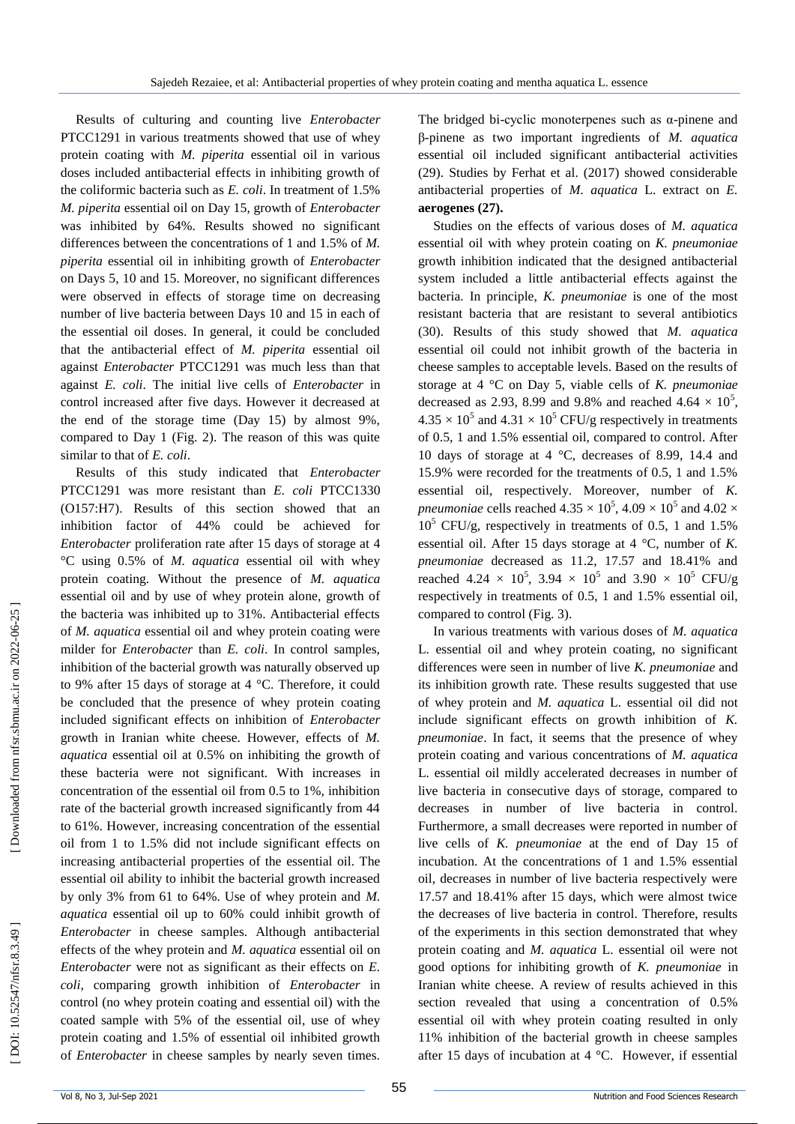Results of culturing and counting live *Enterobacter* PTCC1291 in various treatments showed that use of whey protein coating with *M. piperita* essential oil in various doses included antibacterial effects in inhibiting growth of the coliformic bacteria such as *E. coli*. In treatment of 1.5% *M. piperita* essential oil on Day 15, growth of *Enterobacter* was inhibited by 64%. Results showed no significant differences between the concentrations of 1 and 1.5% of *M. piperita* essential oil in inhibiting growth of *Enterobacter*  on Days 5, 10 and 15. Moreover, no significant differences were observed in effects of storage time on decreasing number of live bacteria between Days 10 and 15 in each of the essential oil doses. In general, it could be concluded that the antibacterial effect of *M. piperita* essential oil against *Enterobacter* PTCC1291 was much less than that against *E. coli* . The initial live cells of *Enterobacter* in control increased after five days. However it decreased at the end of the storage time (Day 15) by almost 9%, compared to Day 1 (Fig. 2). The reason of this was quite similar to that of *E. coli* .

Results of this study indicated that *Enterobacter* PTCC1291 was more resistant than *E. coli* PTCC1330 (O157:H7). Results of this section showed that an inhibition factor of 44% could be achieved for *Enterobacter* proliferation rate after 15 days of storage at 4 °C using 0.5% of *M. aquatica* essential oil with whey protein coating. Without the presence of *M. aquatica* essential oil and by use of whey protein alone, growth of the bacteria was inhibited up to 31%. Antibacterial effects of *M. aquatica* essential oil and whey protein coating were milder for *Enterobacter* than *E. coli*. In control samples, inhibition of the bacterial growth was naturally observed up to 9% after 15 days of storage at 4 °C. Therefore, it could be concluded that the presence of whey protein coating included significant effects on inhibition of *Enterobacter*  growth in Iranian white cheese. However, effects of *M. aquatica* essential oil at 0.5% on inhibiting the growth of these bacteria were not significant. With increases in concentration of the essential oil from 0.5 to 1%, inhibition rate of the bacterial growth increased significantly from 44 to 61%. However, increasing concentration of the essential oil from 1 to 1.5% did not include significant effects on increasing antibacterial properties of the essential oil. The essential oil ability to inhibit the bacterial growth increased by only 3% from 61 to 64%. Use of whey protein and *M. aquatica* essential oil up to 60% could inhibit growth of *Enterobacter* in cheese samples. Although antibacterial effects of the whey protein and *M. aquatica* essential oil on *Enterobacter* were not as significant as their effects on *E. coli*, comparing growth inhibition of *Enterobacter* in control (no whey protein coating and essential oil) with the coated sample with 5% of the essential oil, use of whey protein coating and 1.5% of essential oil inhibited growth of *Enterobacter* in cheese samples by nearly seven times.

The bridged bi-cyclic monoterpenes such as  $\alpha$ -pinene and β -pinene as two important ingredients of *M. aquatica* essential oil included significant antibacterial activities (29). Studies by Ferhat et al. (2017) showed considerable antibacterial properties of *M. aquatica* L. extract on *E.*  **aerogenes (27).**

Studies on the effects of various doses of *M. aquatica* essential oil with whey protein coating on *K. pneumoniae* growth inhibition indicated that the designed antibacterial system included a little antibacterial effects against the bacteria. In principle, *K. pneumoniae* is one of the most resistant bacteria that are resistant to several antibiotics (30). Results of this study showed that *M. aquatica* essential oil could not inhibit growth of the bacteria in cheese samples to acceptable levels. Based on the results of storage at 4 °C on Day 5, viable cells of *K. pneumoniae* decreased as 2.93, 8.99 and 9.8% and reached  $4.64 \times 10^5$ ,  $4.35 \times 10^5$  and  $4.31 \times 10^5$  CFU/g respectively in treatments of 0.5, 1 and 1.5% essential oil, compared to control. After 10 days of storage at 4 °C, decreases of 8.99, 14.4 and 15.9% were recorded for the treatments of 0.5, 1 and 1.5% essential oil, respectively. Moreover, number of *K. pneumoniae* cells reached  $4.35 \times 10^5$ ,  $4.09 \times 10^5$  and  $4.02 \times$ 10 <sup>5</sup> CFU/g, respectively in treatments of 0.5, 1 and 1.5% essential oil. After 15 days storage at 4 °C, number of *K. pneumoniae* decreased as 11.2, 17.57 and 18.41% and reached 4.24  $\times$  10<sup>5</sup>, 3.94  $\times$  10<sup>5</sup> and 3.90  $\times$  10<sup>5</sup> CFU/g respectively in treatments of 0.5, 1 and 1.5% essential oil, compared to control (Fig. 3).

In various treatments with various doses of *M. aquatica* L. essential oil and whey protein coating, no significant differences were seen in number of live *K. pneumoniae* and its inhibition growth rate. These results suggested that use of whey protein and *M. aquatica* L. essential oil did not include significant effects on growth inhibition of *K. pneumoniae*. In fact, it seems that the presence of whey protein coating and various concentrations of *M. aquatica* L. essential oil mildly accelerated decreases in number of live bacteria in consecutive days of storage, compared to decreases in number of live bacteria in control. Furthermore, a small decreases were reported in number of live cells of *K. pneumoniae* at the end of Day 15 of incubation. At the concentrations of 1 and 1.5% essential oil, decreases in number of live bacteria respectively were 17.57 and 18.41% after 15 days, which were almost twice the decreases of live bacteria in control. Therefore, results of the experiments in this section demonstrated that whey protein coating and *M. aquatica* L. essential oil were not good options for inhibiting growth of *K. pneumoniae* in Iranian white cheese. A review of results achieved in this section revealed that using a concentration of 0.5% essential oil with whey protein coating resulted in only 11% inhibition of the bacterial growth in cheese samples after 15 days of incubation at 4 °C. However, if essential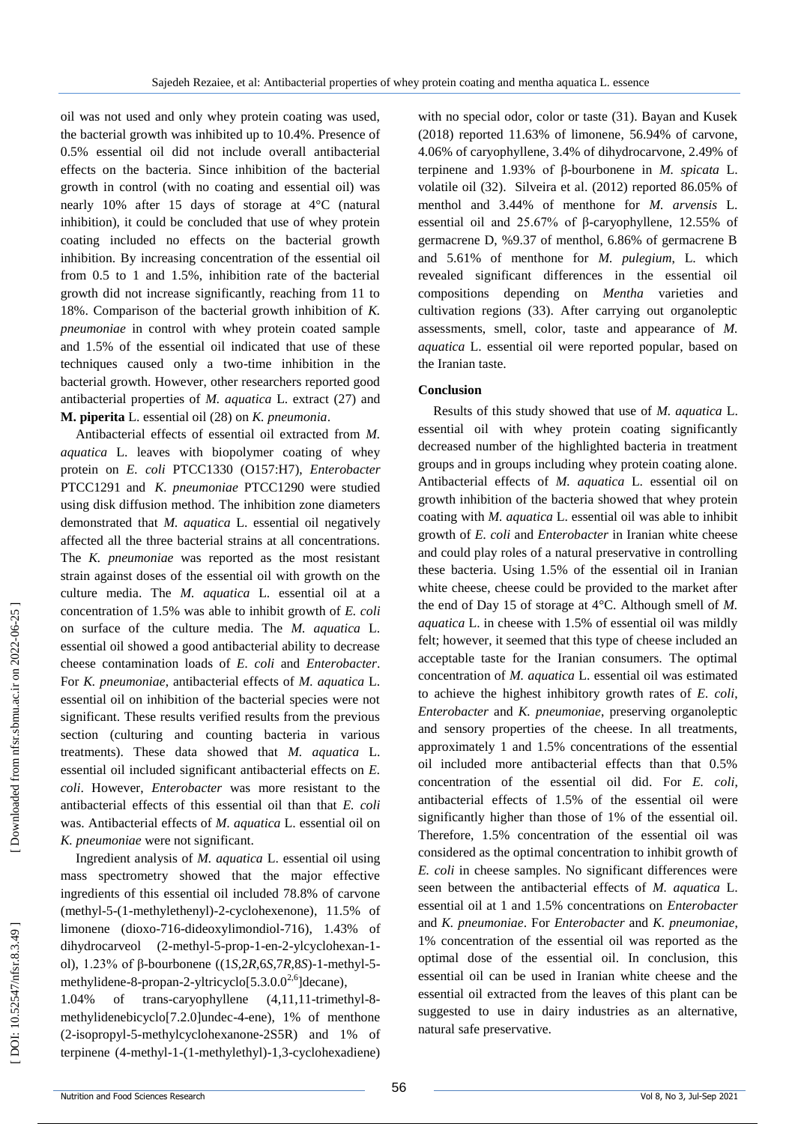oil was not used and only whey protein coating was used, the bacterial growth was inhibited up to 10.4%. Presence of 0.5% essential oil did not include overall antibacterial effects on the bacteria. Since inhibition of the bacterial growth in control (with no coating and essential oil) was nearly 10% after 15 days of storage at 4°C (natural inhibition), it could be concluded that use of whey protein coating included no effects on the bacterial growth inhibition. By increasing concentration of the essential oil from 0.5 to 1 and 1.5%, inhibition rate of the bacterial growth did not increase significantly, reaching from 11 to 18%. Comparison of the bacterial growth inhibition of *K. pneumoniae* in control with whey protein coated sample and 1.5% of the essential oil indicated that use of these techniques caused only a two -time inhibition in the bacterial growth. However, other researchers reported good antibacterial properties of *M. aquatica* L. extract (27) and **M. piperita** L. essential oil (28) on *K. pneumonia* .

Antibacterial effects of essential oil extracted from *M. aquatica* L. leaves with biopolymer coating of whey protein on *E. coli* PTCC1330 (O157:H7), *Enterobacter*  PTCC1291 and *K. pneumoniae* PTCC1290 were studied using disk diffusion method. The inhibition zone diameters demonstrated that *M. aquatica* L. essential oil negatively affected all the three bacterial strains at all concentrations. The *K. pneumoniae* was reported as the most resistant strain against doses of the essential oil with growth on the culture media. The *M. aquatica* L. essential oil at a concentration of 1.5% was able to inhibit growth of *E. coli* on surface of the culture media. The *M. aquatica* L. essential oil showed a good antibacterial ability to decrease cheese contamination loads of *E. coli* and *Enterobacter*. For *K. pneumoniae*, antibacterial effects of *M. aquatica* L. essential oil on inhibition of the bacterial species were not significant. These results verified results from the previous section (culturing and counting bacteria in various treatments). These data showed that *M. aquatica* L. essential oil included significant antibacterial effects on *E. coli*. However, *Enterobacter* was more resistant to the antibacterial effects of this essential oil than that *E. coli*  was. Antibacterial effects of *M. aquatica* L. essential oil on *K. pneumoniae* were not significant .

Ingredient analysis of *M. aquatica* L. essential oil using mass spectrometry showed that the major effective ingredients of this essential oil included 78.8% of carvone (methyl-5-(1-methylethenyl)-2-cyclohexenone), 11.5% of limonene (dioxo -716 -dideoxylimondiol -716), 1.43% of dihydrocarveol (2-methyl-5-prop-1-en-2-ylcyclohexan-1ol), 1.23% of β-bourbonene ((1*S*,2*R*,6*S*,7*R*,8*S*)-1-methyl-5methylidene-8-propan-2-yltricyclo[5.3.0.0<sup>2,6</sup>]decane),

 $1.04\%$  of trans-caryophyllene -trimethyl-8methylidenebicyclo<sup>[7.2.0]</sup>undec-4-ene), 1% of menthone ( 2 -isopropyl - 5 -methylcyclohexanone -2S5R) and 1% of terpinene ( 4 -methyl - 1 -(1 -methylethyl) -1,3 -cyclohexadiene)

with no special odor, color or taste (31). Bayan and Kusek (2018) reported 11.63% of limonene, 56.94% of carvone, 4.06% of caryophyllene, 3.4% of dihydrocarvone, 2.49% of terpinene and 1.93% of β -bourbonene in *M. spicata* L. volatile oil (32). Silveira et al. (2012) reported 86.05% of menthol and 3.44% of menthone for *M. arvensis* L. essential oil and 25.67% of β -caryophyllene, 12.55% of germacrene D, %9.37 of menthol, 6.86% of germacrene B and 5.61% of menthone for *M. pulegium*, L. which revealed significant differences in the essential oil compositions depending on *Mentha* varieties and cultivation regions (33). After carrying out organoleptic assessments, smell, color, taste and appearance of *M. aquatica* L. essential oil were reported popular, based on the Iranian taste.

## **Conclusion**

Results of this study showed that use of *M. aquatica* L. essential oil with whey protein coating significantly decreased number of the highlighted bacteria in treatment groups and in groups including whey protein coating alone. Antibacterial effects of *M. aquatica* L. essential oil on growth inhibition of the bacteria showed that whey protein coating with *M. aquatica* L. essential oil was able to inhibit growth of *E. coli* and *Enterobacter* in Iranian white cheese and could play roles of a natural preservative in controlling these bacteria. Using 1.5% of the essential oil in Iranian white cheese, cheese could be provided to the market after the end of Day 15 of storage at 4°C. Although smell of *M. aquatica* L. in cheese with 1.5% of essential oil was mildly felt; however, it seemed that this type of cheese included an acceptable taste for the Iranian consumers. The optimal concentration of *M. aquatica* L. essential oil was estimated to achieve the highest inhibitory growth rates of *E. coli* , *Enterobacter* and *K. pneumoniae*, preserving organoleptic and sensory properties of the cheese. In all treatments, approximately 1 and 1.5% concentrations of the essential oil included more antibacterial effects than that 0.5% concentration of the essential oil did. For *E. coli*, antibacterial effects of 1.5% of the essential oil were significantly higher than those of 1% of the essential oil. Therefore, 1.5% concentration of the essential oil was considered as the optimal concentration to inhibit growth of *E. coli* in cheese samples. No significant differences were seen between the antibacterial effects of *M. aquatica* L. essential oil at 1 and 1.5% concentrations on *Enterobacter* and *K. pneumoniae*. For *Enterobacter* and *K. pneumoniae* , 1% concentration of the essential oil was reported as the optimal dose of the essential oil. In conclusion, this essential oil can be used in Iranian white cheese and the essential oil extracted from the leaves of this plant can be suggested to use in dairy industries as an alternative, natural safe preservative.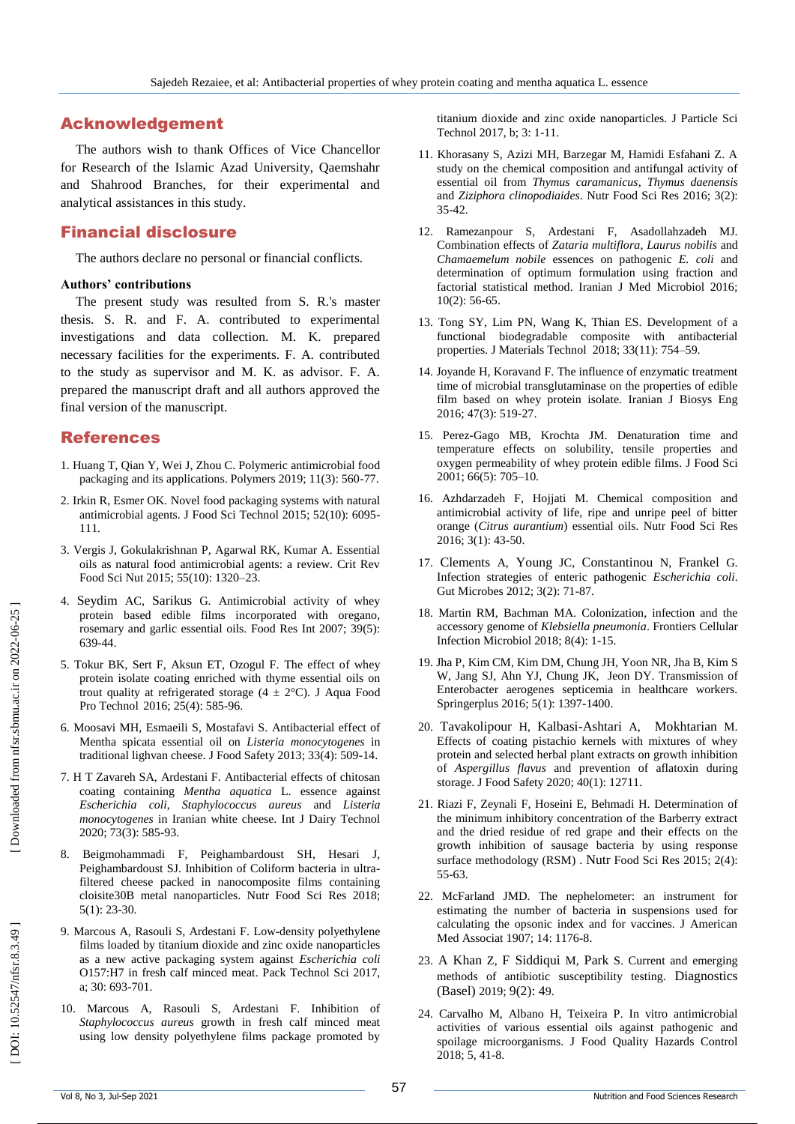# Acknowledgement

The authors wish to thank Offices of Vice Chancellor for Research of the Islamic Azad University, Qaemshahr and Shahrood Branches, for their experimental and analytical assistances in this study.

# Financial disclosure

The authors declare no personal or financial conflicts.

## **Authors' contributions**

The present study was resulted from S. R.'s master thesis. S. R. and F. A. contributed to experimental investigations and data collection. M. K. prepared necessary facilities for the experiments. F. A. contributed to the study as supervisor and M. K. as advisor. F. A. prepared the manuscript draft and all authors approved the final version of the manuscript.

# References

- 1. Huang T, Qian Y, Wei J, Zhou C. Polymeric antimicrobial food packaging and its applications. Polymers 2019; 11(3): 560 -77.
- 2. Irkin R, Esmer OK. Novel food packaging systems with natural antimicrobial agents. J Food Sci Technol 2015; 52(10): 6095 - 111.
- 3. Vergis J, Gokulakrishnan P, Agarwal RK, Kumar A. Essential oils as natural food antimicrobial agents: a review. Crit Rev Food Sci Nut 2015; 55(10): 1320 –23.
- 4. [Seydim](https://www.researchgate.net/scientific-contributions/8504940_AC_Seydim?_sg%5B0%5D=8a95nQGWe3EgqDOUC2dQ5fmdsyLdhG9_OI2NWpsbuM7YX0oYnNUWXyIR0N_5tgkY7Xr0PF8.B9WVVzoGRkp9rQg9HtwA_tS1UczNsHTKtEATExeH13D8nH5tf05daLx1gYmei0gKsLlVgZ12CyWzF-B7FtVosg&_sg%5B1%5D=hzkzzh73qLpEAkZrTiRpyvYmMUBap99WUpF9ADpHSjMFJr8UQMd6PqRCYVxfNge5OqtRKkY.YFzrozz350rI4O8ZysI9Vf6dAeDFgaAGkrmBsAWDW8O3aGOVq6P7V_d7thGBt7PmTuhjYvKCk_2fasIZ1r_Zxw) AC, [Sarikus](https://www.researchgate.net/scientific-contributions/73613317_G_Sarikus?_sg%5B0%5D=8a95nQGWe3EgqDOUC2dQ5fmdsyLdhG9_OI2NWpsbuM7YX0oYnNUWXyIR0N_5tgkY7Xr0PF8.B9WVVzoGRkp9rQg9HtwA_tS1UczNsHTKtEATExeH13D8nH5tf05daLx1gYmei0gKsLlVgZ12CyWzF-B7FtVosg&_sg%5B1%5D=hzkzzh73qLpEAkZrTiRpyvYmMUBap99WUpF9ADpHSjMFJr8UQMd6PqRCYVxfNge5OqtRKkY.YFzrozz350rI4O8ZysI9Vf6dAeDFgaAGkrmBsAWDW8O3aGOVq6P7V_d7thGBt7PmTuhjYvKCk_2fasIZ1r_Zxw) G. Antimicrobial activity of whey protein based edible films incorporated with oregano, rosemary and garlic essential oils. Food Res Int 2007; 39(5): 639 -44.
- 5. Tokur BK, Sert F, Aksun ET, Ozogul F. The effect of whey protein isolate coating enriched with thyme essential oils on trout quality at refrigerated storage (4  $\pm$  2°C). J Aqua Food [Pro Technol](https://www.tandfonline.com/toc/wafp20/current) 2016; 25(4): 585 -96.
- 6. Moosavi MH, Esmaeili S, Mostafavi S. Antibacterial effect of Mentha spicata essential oil on *Listeria monocytogenes* in traditional lighvan cheese. J Food Safety 2013; 33(4): 509 -14.
- 7. H T Zavareh SA, Ardestani F. Antibacterial effects of chitosan coating containing *Mentha aquatica* L. essence against *Escherichia coli*, *Staphylococcus aureus* and *Listeria monocytogenes* in Iranian white cheese. Int J Dairy Technol 2020; 73(3): 585 -93.
- 8. Beigmohammadi F, Peighambardoust SH, Hesari J, Peighambardoust SJ. Inhibition of Coliform bacteria in ultra filtered cheese packed in nanocomposite films containing cloisite30B metal nanoparticles. Nutr Food Sci Res 2018; 5(1): 23 -30.
- 9. Marcous A, Rasouli S, Ardestani F. Low -density polyethylene films loaded by titanium dioxide and zinc oxide nanoparticles as a new active packaging system against *Escherichia coli* O157:H7 in fresh calf minced meat. Pack Technol Sci 2017, a; 30: 693 -701.
- 10. Marcous A, Rasouli S, Ardestani F. Inhibition of *Staphylococcus aureus* growth in fresh calf minced meat using low density polyethylene films package promoted by

titanium dioxide and zinc oxide nanoparticles. J Particle Sci Technol 2017, b; 3: 1 -11.

- 11. Khorasany S, Azizi MH, Barzegar M, Hamidi Esfahani Z. A study on the chemical composition and antifungal activity of essential oil from *Thymus caramanicus*, *Thymus daenensis* and *Ziziphora clinopodiaides*. Nutr Food Sci Res 2016; 3(2): 35 -42.
- 12. Ramezanpour S, Ardestani F, Asadollahzadeh MJ. Combination effects of *Zataria multiflora*, *Laurus nobilis* and *Chamaemelum nobile* essences on pathogenic *E. coli* and determination of optimum formulation using fraction and factorial statistical method. Iranian J Med Microbiol 2016; 10(2): 56 -65.
- 13. Tong SY, Lim PN, Wang K, Thian ES. Development of a functional biodegradable composite with antibacterial properties. J Materials Technol 2018; 33(11): 754 –59.
- 14. Joyande H, Koravand F. The influence of enzymatic treatment time of microbial transglutaminase on the properties of edible film based on whey protein isolate. Iranian J Biosys Eng 2016; 47(3): 519 -27.
- 15. Perez -Gago MB, Krochta JM. Denaturation time and temperature effects on solubility, tensile properties and oxygen permeability of whey protein edible films. J Food Sci 2001; 66 ( 5): 705 –10.
- 16. Azhdarzadeh F, Hojjati M. Chemical composition and antimicrobial activity of life, ripe and unripe peel of bitter orange (*Citrus aurantium*) essential oils. Nutr Food Sci Res 2016; 3(1): 43 -50.
- 17. [Clements](https://www.ncbi.nlm.nih.gov/pubmed/?term=Clements%20A%5BAuthor%5D&cauthor=true&cauthor_uid=22555463) A, [Young](https://www.ncbi.nlm.nih.gov/pubmed/?term=Young%20JC%5BAuthor%5D&cauthor=true&cauthor_uid=22555463) JC, [Constantinou](https://www.ncbi.nlm.nih.gov/pubmed/?term=Constantinou%20N%5BAuthor%5D&cauthor=true&cauthor_uid=22555463) N, [Frankel](https://www.ncbi.nlm.nih.gov/pubmed/?term=Frankel%20G%5BAuthor%5D&cauthor=true&cauthor_uid=22555463) G. Infection strategies of enteric pathogenic *Escherichia coli*. Gut Microbes 2012; 3(2): 71 -87.
- 18. Martin RM, Bachman MA. Colonization, infection and the accessory genome of *Klebsiella pneumonia*. Frontiers Cellular Infection Microbiol 2018; 8(4): 1 -15.
- 19. Jha [P,](https://www.ncbi.nlm.nih.gov/pubmed/?term=Jha%20P%5BAuthor%5D&cauthor=true&cauthor_uid=27610316) [Kim](https://www.ncbi.nlm.nih.gov/pubmed/?term=Kim%20CM%5BAuthor%5D&cauthor=true&cauthor_uid=27610316) CM, [Kim](https://www.ncbi.nlm.nih.gov/pubmed/?term=Kim%20DM%5BAuthor%5D&cauthor=true&cauthor_uid=27610316) DM, Chung [JH](https://www.ncbi.nlm.nih.gov/pubmed/?term=Chung%20JH%5BAuthor%5D&cauthor=true&cauthor_uid=27610316) , [Yoon](https://www.ncbi.nlm.nih.gov/pubmed/?term=Yoon%20NR%5BAuthor%5D&cauthor=true&cauthor_uid=27610316) NR, Jha [B](https://www.ncbi.nlm.nih.gov/pubmed/?term=Jha%20B%5BAuthor%5D&cauthor=true&cauthor_uid=27610316) , [Kim](https://www.ncbi.nlm.nih.gov/pubmed/?term=Kim%20SW%5BAuthor%5D&cauthor=true&cauthor_uid=27610316) S W, [Jang](https://www.ncbi.nlm.nih.gov/pubmed/?term=Jang%20SJ%5BAuthor%5D&cauthor=true&cauthor_uid=27610316) SJ, [Ahn](https://www.ncbi.nlm.nih.gov/pubmed/?term=Ahn%20YJ%5BAuthor%5D&cauthor=true&cauthor_uid=27610316) YJ, [Chung](https://www.ncbi.nlm.nih.gov/pubmed/?term=Chung%20JK%5BAuthor%5D&cauthor=true&cauthor_uid=27610316) JK, [Jeon](https://www.ncbi.nlm.nih.gov/pubmed/?term=Jeon%20DY%5BAuthor%5D&cauthor=true&cauthor_uid=27610316) DY. Transmission of Enterobacter aerogenes septicemia in healthcare workers. Springerplus 2016; 5(1): 1397 -1400.
- 20. [Tavakolipour](https://onlinelibrary.wiley.com/action/doSearch?ContribAuthorStored=Tavakolipour%2C+Hamid) H, Kalbasi [-Ashtari](https://onlinelibrary.wiley.com/action/doSearch?ContribAuthorStored=Kalbasi-Ashtari%2C+Ahmad) A, [Mokhtarian](https://onlinelibrary.wiley.com/action/doSearch?ContribAuthorStored=Mokhtarian%2C+Mohsen) M. Effects of coating pistachio kernels with mixtures of whey protein and selected herbal plant extracts on growth inhibition of *Aspergillus flavus* and prevention of aflatoxin during storage. J Food Safety 2020; 40(1): 12711.
- 21. Riazi F, Zeynali F, Hoseini E, Behmadi H. Determination of the minimum inhibitory concentration of the Barberry extract and the dried residue of red grape and their effects on the growth inhibition of sausage bacteria by using response surface methodology (RSM) . [Nutr](file:///C:/Users/m_hoseini/هانی%20تباییInternational%20journal%20of%20Dairy%20Technology/Journal%20of%20Microbiological%20Methods) Food Sci Res 2015; 2(4): 55 -63.
- 22. McFarland JMD. The nephelometer: an instrument for estimating the number of bacteria in suspensions used for calculating the opsonic index and for vaccines. J American Med Associat 1907; 14: 1176 -8.
- 23. [A Khan](https://www.ncbi.nlm.nih.gov/pubmed/?term=Khan%20ZA%5BAuthor%5D&cauthor=true&cauthor_uid=31058811) Z, [F Siddiqui](https://www.ncbi.nlm.nih.gov/pubmed/?term=Siddiqui%20MF%5BAuthor%5D&cauthor=true&cauthor_uid=31058811) M, [Park](https://www.ncbi.nlm.nih.gov/pubmed/?term=Park%20S%5BAuthor%5D&cauthor=true&cauthor_uid=31058811) S. Current and emerging methods of antibiotic susceptibility testing. [Diagnostics](https://www.ncbi.nlm.nih.gov/pmc/articles/PMC6627445/)  [\(Basel\)](https://www.ncbi.nlm.nih.gov/pmc/articles/PMC6627445/) 2019; 9(2): 49.
- 24. Carvalho M, Albano H, Teixeira P. In vitro antimicrobial activities of various essential oils against pathogenic and spoilage microorganisms. J Food Quality Hazards Control 2018; 5, 41 -8.